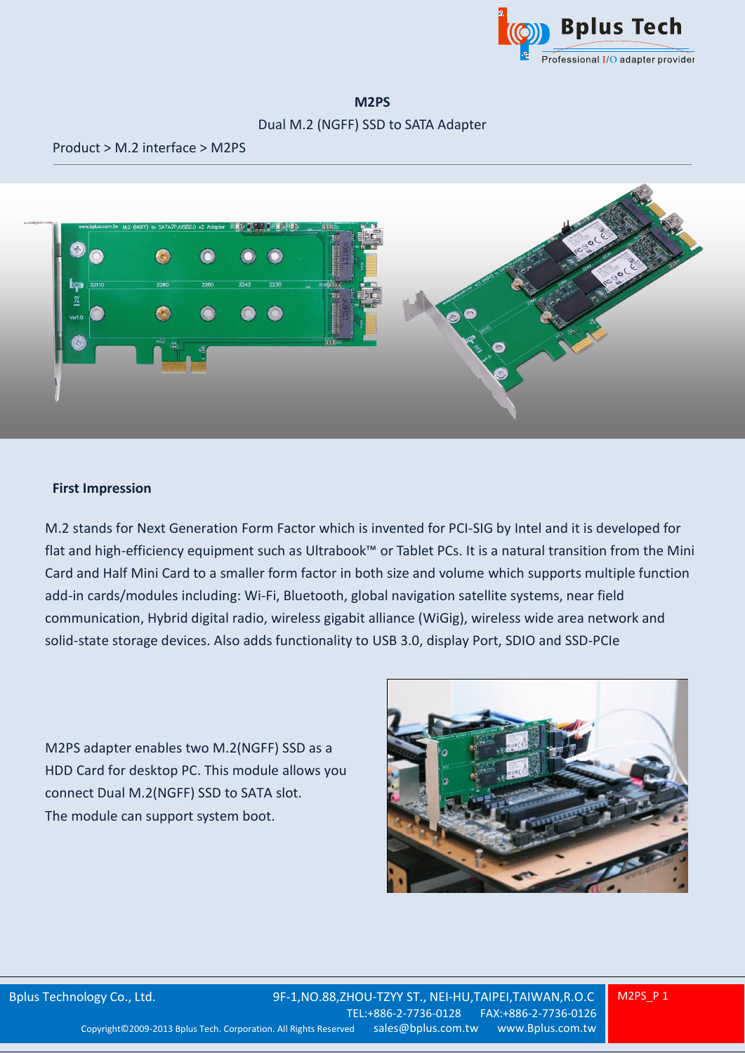

#### **M2PS**

### Dual M.2 (NGFF) SSD to SATA Adapter

Product > M.2 interface > M2PS



### **First Impression**

M.2 stands for Next Generation Form Factor which is invented for PCI-SIG by Intel and it is developed for flat and high-efficiency equipment such as Ultrabook™ or Tablet PCs. It is a natural transition from the Mini Card and Half Mini Card to a smaller form factor in both size and volume which supports multiple function add-in cards/modules including: Wi-Fi, Bluetooth, global navigation satellite systems, near field communication, Hybrid digital radio, wireless gigabit alliance (WiGig), wireless wide area network and solid-state storage devices. Also adds functionality to USB 3.0, display Port, SDIO and SSD-PCIe

M2PS adapter enables two M.2(NGFF) SSD as a HDD Card for desktop PC. This module allows you connect Dual M.2(NGFF) SSD to SATA slot. The module can support system boot.

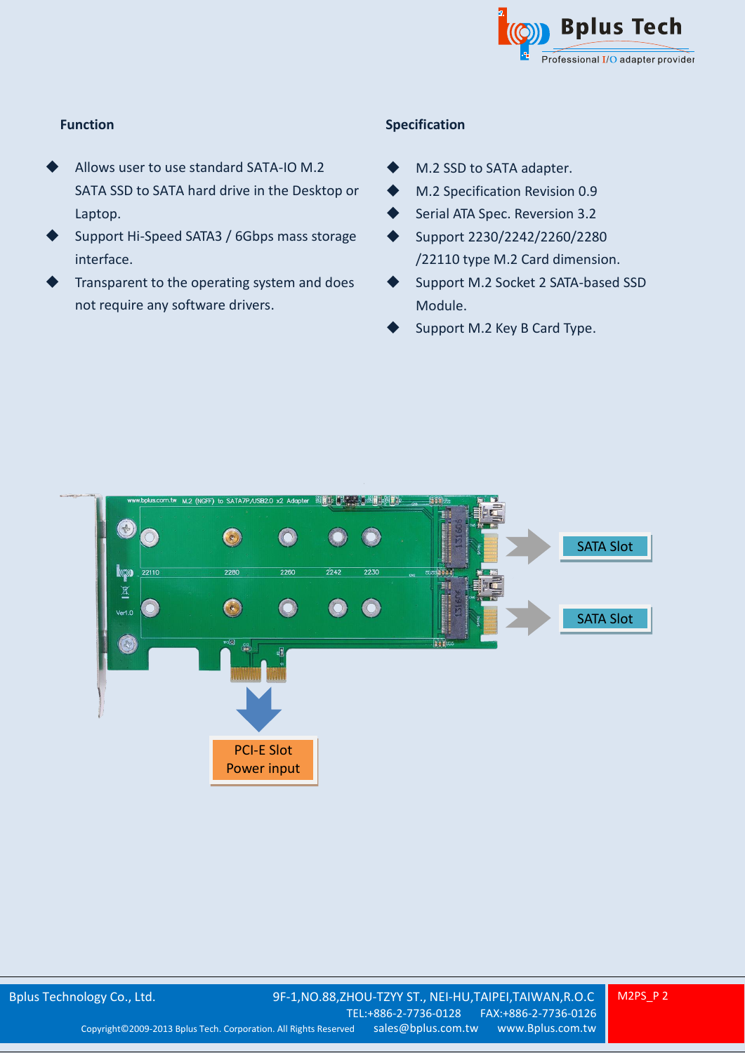

# **Function**

- Allows user to use standard SATA-IO M.2 SATA SSD to SATA hard drive in the Desktop or Laptop.
- Support Hi-Speed SATA3 / 6Gbps mass storage interface.
- Transparent to the operating system and does not require any software drivers.

## **Specification**

- M.2 SSD to SATA adapter.
- M.2 Specification Revision 0.9
- Serial ATA Spec. Reversion 3.2
- ◆ Support 2230/2242/2260/2280 /22110 type M.2 Card dimension.
- Support M.2 Socket 2 SATA-based SSD Module.
- Support M.2 Key B Card Type.